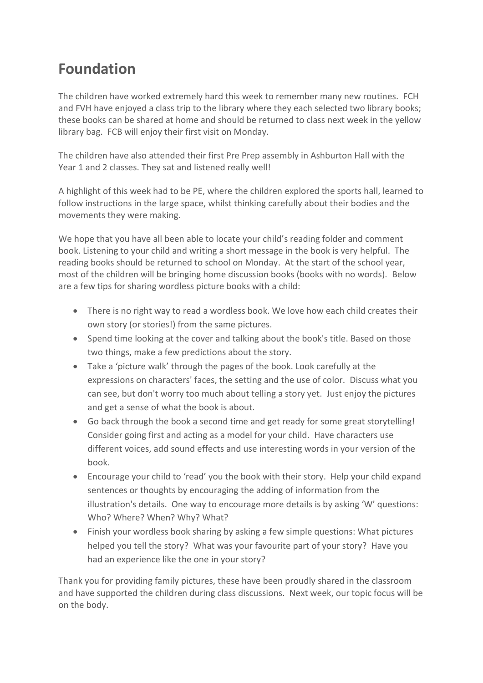## **Foundation**

The children have worked extremely hard this week to remember many new routines. FCH and FVH have enjoyed a class trip to the library where they each selected two library books; these books can be shared at home and should be returned to class next week in the yellow library bag. FCB will enjoy their first visit on Monday.

The children have also attended their first Pre Prep assembly in Ashburton Hall with the Year 1 and 2 classes. They sat and listened really well!

A highlight of this week had to be PE, where the children explored the sports hall, learned to follow instructions in the large space, whilst thinking carefully about their bodies and the movements they were making.

We hope that you have all been able to locate your child's reading folder and comment book. Listening to your child and writing a short message in the book is very helpful. The reading books should be returned to school on Monday. At the start of the school year, most of the children will be bringing home discussion books (books with no words). Below are a few tips for sharing wordless picture books with a child:

- There is no right way to read a wordless book. We love how each child creates their own story (or stories!) from the same pictures.
- Spend time looking at the cover and talking about the book's title. Based on those two things, make a few predictions about the story.
- Take a 'picture walk' through the pages of the book. Look carefully at the expressions on characters' faces, the setting and the use of color. Discuss what you can see, but don't worry too much about telling a story yet. Just enjoy the pictures and get a sense of what the book is about.
- Go back through the book a second time and get ready for some great storytelling! Consider going first and acting as a model for your child. Have characters use different voices, add sound effects and use interesting words in your version of the book.
- Encourage your child to 'read' you the book with their story. Help your child expand sentences or thoughts by encouraging the adding of information from the illustration's details. One way to encourage more details is by asking 'W' questions: Who? Where? When? Why? What?
- Finish your wordless book sharing by asking a few simple questions: What pictures helped you tell the story? What was your favourite part of your story? Have you had an experience like the one in your story?

Thank you for providing family pictures, these have been proudly shared in the classroom and have supported the children during class discussions. Next week, our topic focus will be on the body.